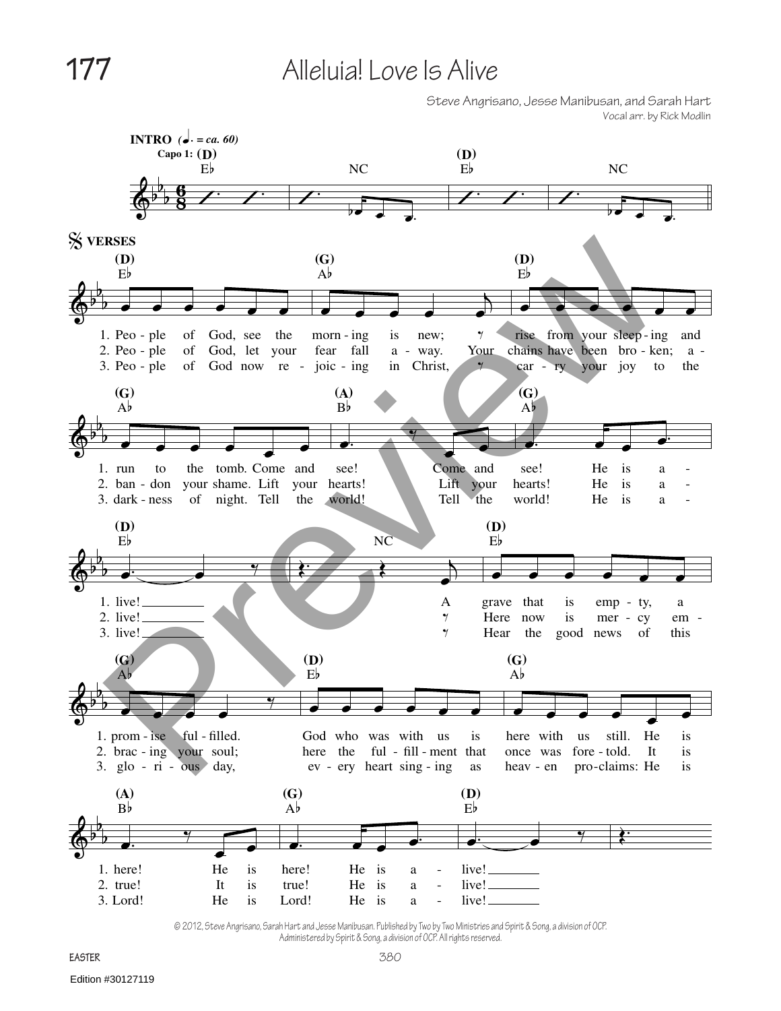## **177** Alleluia! Love Is Alive

Steve Angrisano, Jesse Manibusan, and Sarah Hart Vocal arr. by Rick Modlin



© 2012, Steve Angrisano, Sarah Hart and Jesse Manibusan. Published by Two by Two Ministries and Spirit & Song, a division of OCP. Administered by Spirit & Song, a division of OCP. All rights reserved.